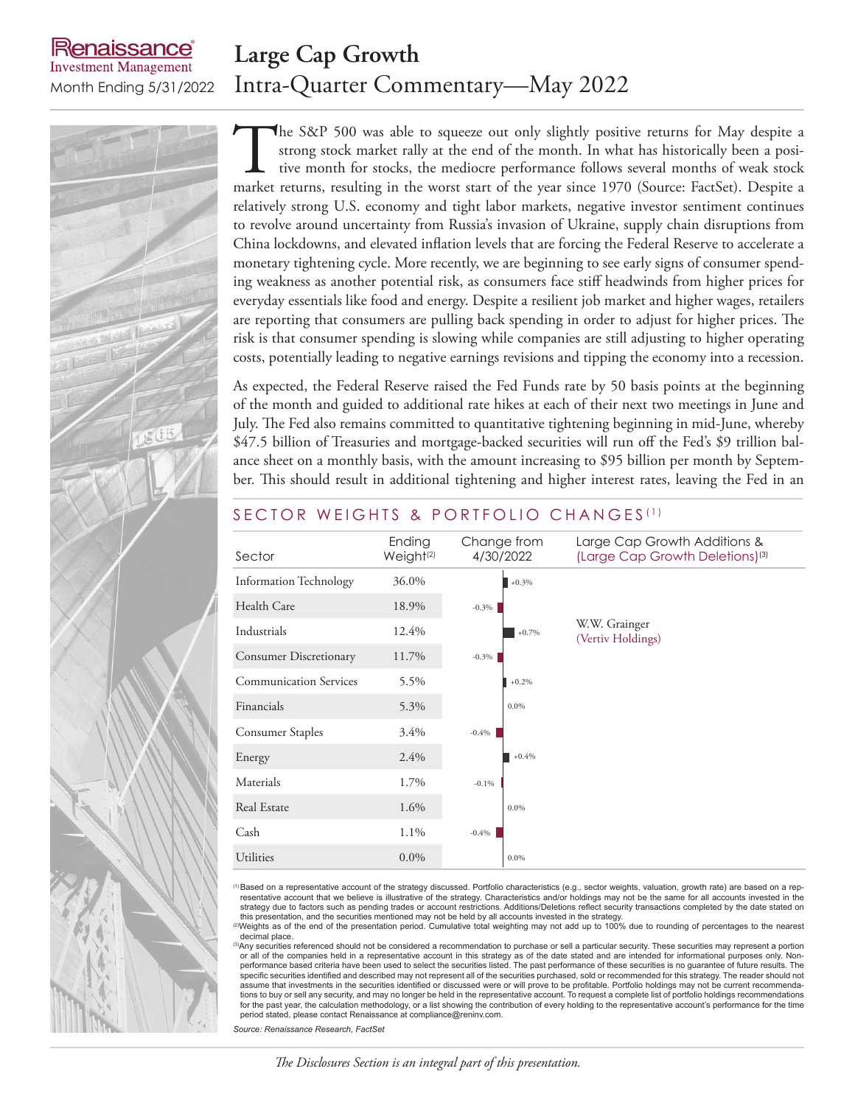#### enaissance **Large Cap Growth Investment Management** Month Ending 5/31/2022 Intra-Quarter Commentary—May 2022

The S&P 500 was able to squeeze out only slightly positive returns for May despite a strong stock market rally at the end of the month. In what has historically been a positive month for stocks, the mediocre performance fo strong stock market rally at the end of the month. In what has historically been a positive month for stocks, the mediocre performance follows several months of weak stock market returns, resulting in the worst start of the year since 1970 (Source: FactSet). Despite a relatively strong U.S. economy and tight labor markets, negative investor sentiment continues to revolve around uncertainty from Russia's invasion of Ukraine, supply chain disruptions from China lockdowns, and elevated inflation levels that are forcing the Federal Reserve to accelerate a monetary tightening cycle. More recently, we are beginning to see early signs of consumer spending weakness as another potential risk, as consumers face stiff headwinds from higher prices for everyday essentials like food and energy. Despite a resilient job market and higher wages, retailers are reporting that consumers are pulling back spending in order to adjust for higher prices. The risk is that consumer spending is slowing while companies are still adjusting to higher operating costs, potentially leading to negative earnings revisions and tipping the economy into a recession.

As expected, the Federal Reserve raised the Fed Funds rate by 50 basis points at the beginning of the month and guided to additional rate hikes at each of their next two meetings in June and July. The Fed also remains committed to quantitative tightening beginning in mid-June, whereby \$47.5 billion of Treasuries and mortgage-backed securities will run off the Fed's \$9 trillion balance sheet on a monthly basis, with the amount increasing to \$95 billion per month by September. This should result in additional tightening and higher interest rates, leaving the Fed in an

| Sector                        | Ending<br>Weight <sup>(2)</sup> | Change from<br>4/30/2022 | Large Cap Growth Additions &<br>(Large Cap Growth Deletions) <sup>(3)</sup> |
|-------------------------------|---------------------------------|--------------------------|-----------------------------------------------------------------------------|
| <b>Information Technology</b> | 36.0%                           | $+0.3%$                  |                                                                             |
| Health Care                   | 18.9%                           | $-0.3\%$                 |                                                                             |
| Industrials                   | 12.4%                           | $+0.7%$                  | W.W. Grainger<br>(Vertiv Holdings)                                          |
| <b>Consumer Discretionary</b> | 11.7%                           | $-0.3\%$                 |                                                                             |
| <b>Communication Services</b> | 5.5%                            | $+0.2%$                  |                                                                             |
| Financials                    | 5.3%                            | $0.0\%$                  |                                                                             |
| Consumer Staples              | 3.4%                            | $-0.4%$                  |                                                                             |
| Energy                        | 2.4%                            | $+0.4%$                  |                                                                             |
| Materials                     | 1.7%                            | $-0.1%$                  |                                                                             |
| Real Estate                   | 1.6%                            | 0.0%                     |                                                                             |
| Cash                          | 1.1%                            | $-0.4\%$                 |                                                                             |
| <b>Utilities</b>              | $0.0\%$                         | $0.0\%$                  |                                                                             |

## SECTOR WEIGHTS & PORTFOLIO CHANGES<sup>(1)</sup>

(1)Based on a representative account of the strategy discussed. Portfolio characteristics (e.g., sector weights, valuation, growth rate) are based on a representative account that we believe is illustrative of the strategy. Characteristics and/or holdings may not be the same for all accounts invested in the strategy due to factors such as pending trades or account restrictio

decimal place. <sup>(3)</sup>Any securities referenced should not be considered a recommendation to purchase or sell a particular security. These securities may represent a portion or all of the companies held in a representative account in this strategy as of the date stated and are intended for informational purposes only. Nonperformance based criteria have been used to select the securities listed. The past performance of these securities is no guarantee of future results. The specific securities identified and described may not represent all of the securities purchased, sold or recommended for this strategy. The reader should not assume that investments in the securities identified or discussed were or will prove to be profitable. Portfolio holdings may not be current recommendations to buy or sell any security, and may no longer be held in the representative account. To request a complete list of portfolio holdings recommendations for the past year, the calculation methodology, or a list showing the contribution of every holding to the representative account's performance for the time

*Source: Renaissance Research, FactSet*

period stated, please contact Renaissance at compliance@reninv.com.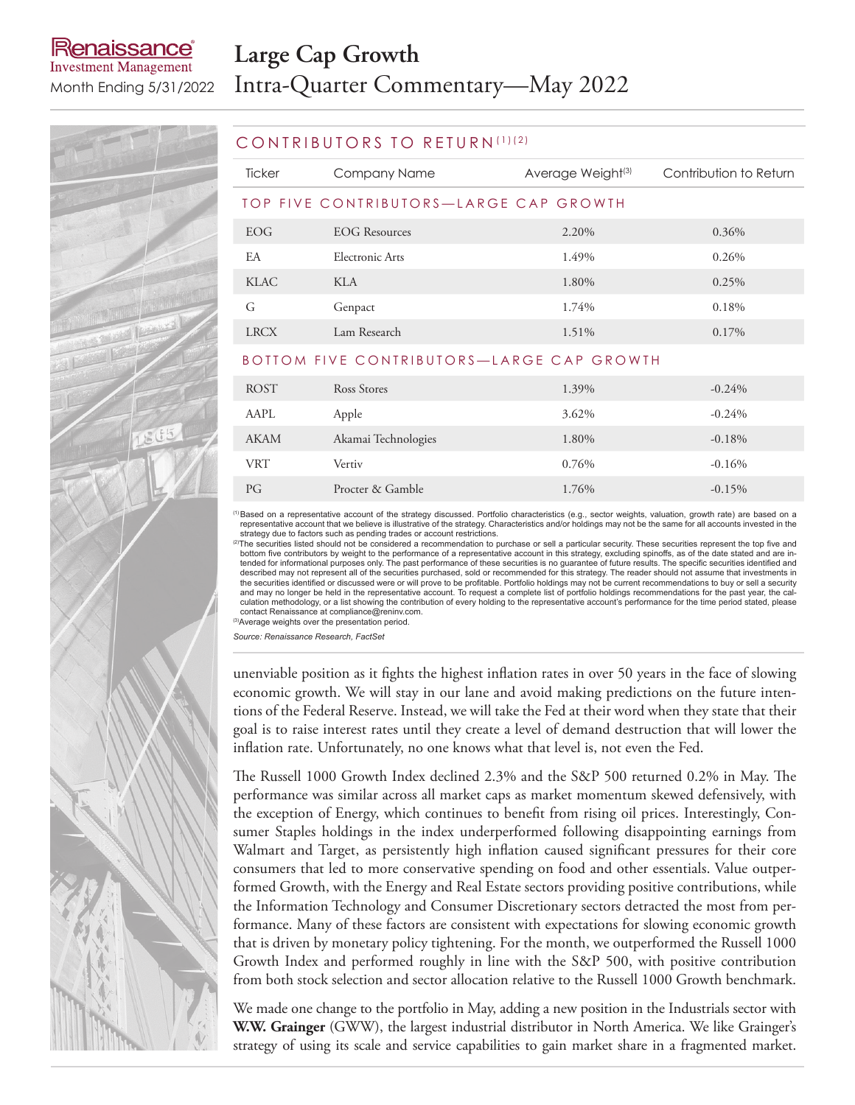# enaissance **Investment Management**

# **Large Cap Growth** Month Ending 5/31/2022 Intra-Quarter Commentary—May 2022

### CONTRIBUTORS TO RETURN (1)(2)

| Ticker                                 | Company Name    | Average Weight <sup>(3)</sup> | Contribution to Return |  |  |  |
|----------------------------------------|-----------------|-------------------------------|------------------------|--|--|--|
| TOP FIVE CONTRIBUTORS—LARGE CAP GROWTH |                 |                               |                        |  |  |  |
| EOG.                                   | EOG Resources   | 2.20%                         | $0.36\%$               |  |  |  |
| EA                                     | Electronic Arts | 1.49%                         | 0.26%                  |  |  |  |
| KLAC                                   | KLA             | 1.80%                         | 0.25%                  |  |  |  |
| G                                      | Genpact         | 1.74%                         | $0.18\%$               |  |  |  |
| <b>LRCX</b>                            | Lam Research    | 1.51%                         | $0.17\%$               |  |  |  |

### BOTTOM FIVE CONTRIBUTORS—LARGE CAP GROWTH

| <b>ROST</b> | Ross Stores         | 1.39% | $-0.24%$ |
|-------------|---------------------|-------|----------|
| AAPL        | Apple               | 3.62% | $-0.24%$ |
| <b>AKAM</b> | Akamai Technologies | 1.80% | $-0.18%$ |
| <b>VRT</b>  | Vertiv              | 0.76% | $-0.16%$ |
| PG          | Procter & Gamble    | 1.76% | $-0.15%$ |

(1)Based on a representative account of the strategy discussed. Portfolio characteristics (e.g., sector weights, valuation, growth rate) are based on a representative account that we believe is illustrative of the strategy. Characteristics and/or holdings may not be the same for all accounts invested in the strategy due to factors such as pending trades or account restric

<sup>(2)</sup>The securities listed should not be considered a recommendation to purchase or sell a particular security. These securities represent the top five and bottom five contributors by weight to the performance of a representative account in this strategy, excluding spinoffs, as of the date stated and are in-<br>tended for informational purposes only. The past performance of thes described may not represent all of the securities purchased, sold or recommended for this strategy. The reader should not assume that investments in the securities identified or discussed were or will prove to be profitable. Portfolio holdings may not be current recommendations to buy or sell a security and may no longer be held in the representative account. To request a complete list of portfolio holdings recommendations for the past year, the calculation methodology, or a list showing the contribution of every holding to the representative account's performance for the time period stated, please contact Renaissance at compliance@reninv.com.

(3) Average weights over the presentation period.

*Source: Renaissance Research, FactSet*

unenviable position as it fights the highest inflation rates in over 50 years in the face of slowing economic growth. We will stay in our lane and avoid making predictions on the future intentions of the Federal Reserve. Instead, we will take the Fed at their word when they state that their goal is to raise interest rates until they create a level of demand destruction that will lower the inflation rate. Unfortunately, no one knows what that level is, not even the Fed.

The Russell 1000 Growth Index declined 2.3% and the S&P 500 returned 0.2% in May. The performance was similar across all market caps as market momentum skewed defensively, with the exception of Energy, which continues to benefit from rising oil prices. Interestingly, Consumer Staples holdings in the index underperformed following disappointing earnings from Walmart and Target, as persistently high inflation caused significant pressures for their core consumers that led to more conservative spending on food and other essentials. Value outperformed Growth, with the Energy and Real Estate sectors providing positive contributions, while the Information Technology and Consumer Discretionary sectors detracted the most from performance. Many of these factors are consistent with expectations for slowing economic growth that is driven by monetary policy tightening. For the month, we outperformed the Russell 1000 Growth Index and performed roughly in line with the S&P 500, with positive contribution from both stock selection and sector allocation relative to the Russell 1000 Growth benchmark.

We made one change to the portfolio in May, adding a new position in the Industrials sector with **W.W. Grainger** (GWW), the largest industrial distributor in North America. We like Grainger's strategy of using its scale and service capabilities to gain market share in a fragmented market.

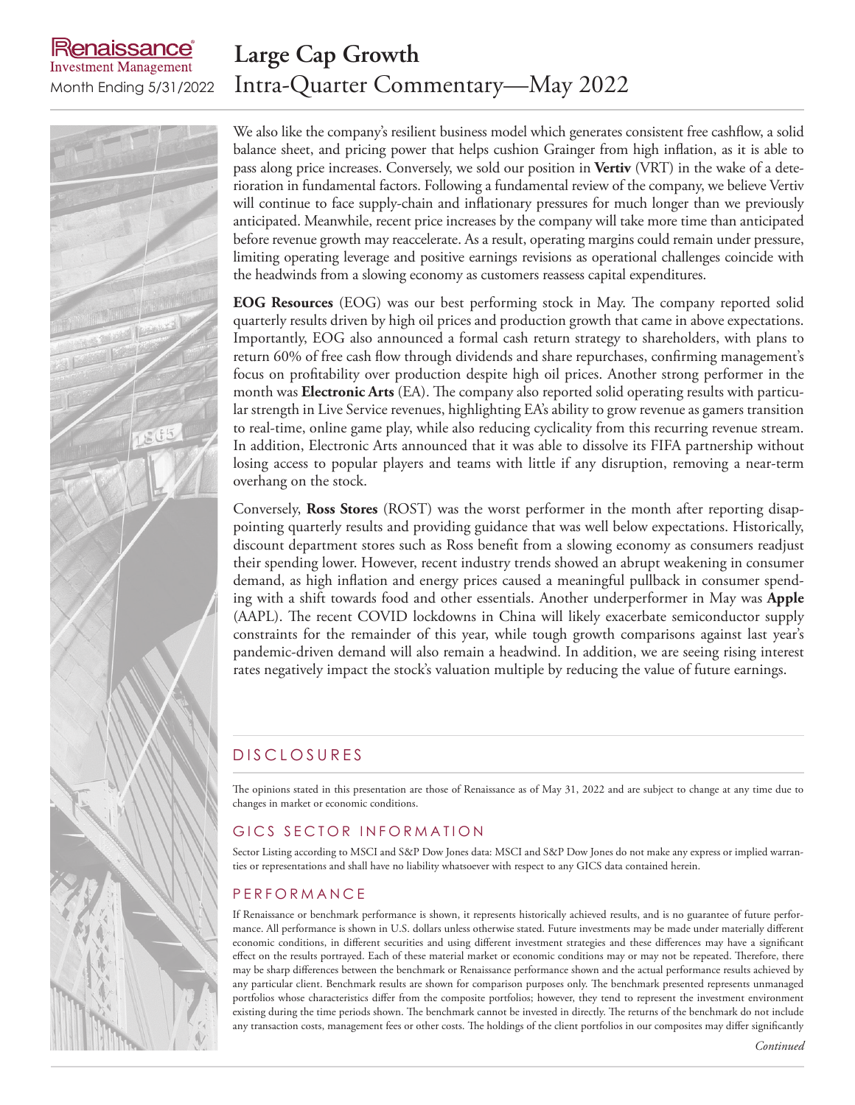# **Large Cap Growth** Month Ending 5/31/2022 Intra-Quarter Commentary—May 2022



aissance

**Investment Management** 

We also like the company's resilient business model which generates consistent free cashflow, a solid balance sheet, and pricing power that helps cushion Grainger from high inflation, as it is able to pass along price increases. Conversely, we sold our position in **Vertiv** (VRT) in the wake of a deterioration in fundamental factors. Following a fundamental review of the company, we believe Vertiv will continue to face supply-chain and inflationary pressures for much longer than we previously anticipated. Meanwhile, recent price increases by the company will take more time than anticipated before revenue growth may reaccelerate. As a result, operating margins could remain under pressure, limiting operating leverage and positive earnings revisions as operational challenges coincide with the headwinds from a slowing economy as customers reassess capital expenditures.

**EOG Resources** (EOG) was our best performing stock in May. The company reported solid quarterly results driven by high oil prices and production growth that came in above expectations. Importantly, EOG also announced a formal cash return strategy to shareholders, with plans to return 60% of free cash flow through dividends and share repurchases, confirming management's focus on profitability over production despite high oil prices. Another strong performer in the month was **Electronic Arts** (EA). The company also reported solid operating results with particular strength in Live Service revenues, highlighting EA's ability to grow revenue as gamers transition to real-time, online game play, while also reducing cyclicality from this recurring revenue stream. In addition, Electronic Arts announced that it was able to dissolve its FIFA partnership without losing access to popular players and teams with little if any disruption, removing a near-term overhang on the stock.

Conversely, **Ross Stores** (ROST) was the worst performer in the month after reporting disappointing quarterly results and providing guidance that was well below expectations. Historically, discount department stores such as Ross benefit from a slowing economy as consumers readjust their spending lower. However, recent industry trends showed an abrupt weakening in consumer demand, as high inflation and energy prices caused a meaningful pullback in consumer spending with a shift towards food and other essentials. Another underperformer in May was **Apple** (AAPL). The recent COVID lockdowns in China will likely exacerbate semiconductor supply constraints for the remainder of this year, while tough growth comparisons against last year's pandemic-driven demand will also remain a headwind. In addition, we are seeing rising interest rates negatively impact the stock's valuation multiple by reducing the value of future earnings.

# D IS CLOSURES

The opinions stated in this presentation are those of Renaissance as of May 31, 2022 and are subject to change at any time due to changes in market or economic conditions.

### GICS SECTOR INFORMATION

Sector Listing according to MSCI and S&P Dow Jones data: MSCI and S&P Dow Jones do not make any express or implied warranties or representations and shall have no liability whatsoever with respect to any GICS data contained herein.

## P E R F O R M A N C E

If Renaissance or benchmark performance is shown, it represents historically achieved results, and is no guarantee of future performance. All performance is shown in U.S. dollars unless otherwise stated. Future investments may be made under materially different economic conditions, in different securities and using different investment strategies and these differences may have a significant effect on the results portrayed. Each of these material market or economic conditions may or may not be repeated. Therefore, there may be sharp differences between the benchmark or Renaissance performance shown and the actual performance results achieved by any particular client. Benchmark results are shown for comparison purposes only. The benchmark presented represents unmanaged portfolios whose characteristics differ from the composite portfolios; however, they tend to represent the investment environment existing during the time periods shown. The benchmark cannot be invested in directly. The returns of the benchmark do not include any transaction costs, management fees or other costs. The holdings of the client portfolios in our composites may differ significantly